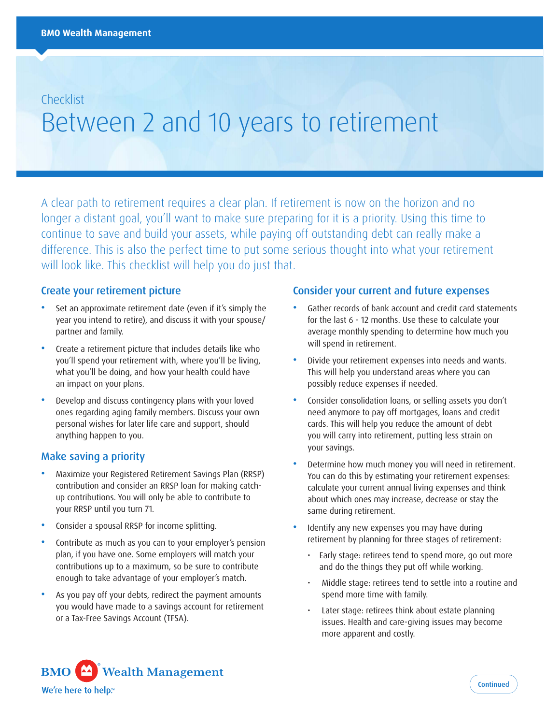# **Checklist** Between 2 and 10 years to retirement

A clear path to retirement requires a clear plan. If retirement is now on the horizon and no longer a distant goal, you'll want to make sure preparing for it is a priority. Using this time to continue to save and build your assets, while paying off outstanding debt can really make a difference. This is also the perfect time to put some serious thought into what your retirement will look like. This checklist will help you do just that.

#### Create your retirement picture

- Set an approximate retirement date (even if it's simply the year you intend to retire), and discuss it with your spouse/ partner and family.
- Create a retirement picture that includes details like who you'll spend your retirement with, where you'll be living, what you'll be doing, and how your health could have an impact on your plans.
- Develop and discuss contingency plans with your loved ones regarding aging family members. Discuss your own personal wishes for later life care and support, should anything happen to you.

### Make saving a priority

- Maximize your Registered Retirement Savings Plan (RRSP) contribution and consider an RRSP loan for making catchup contributions. You will only be able to contribute to your RRSP until you turn 71.
- Consider a spousal RRSP for income splitting.
- Contribute as much as you can to your employer's pension plan, if you have one. Some employers will match your contributions up to a maximum, so be sure to contribute enough to take advantage of your employer's match.
- As you pay off your debts, redirect the payment amounts you would have made to a savings account for retirement or a Tax-Free Savings Account (TFSA).

#### Consider your current and future expenses

- Gather records of bank account and credit card statements for the last 6 - 12 months. Use these to calculate your average monthly spending to determine how much you will spend in retirement.
- Divide your retirement expenses into needs and wants. This will help you understand areas where you can possibly reduce expenses if needed.
- Consider consolidation loans, or selling assets you don't need anymore to pay off mortgages, loans and credit cards. This will help you reduce the amount of debt you will carry into retirement, putting less strain on your savings.
- Determine how much money you will need in retirement. You can do this by estimating your retirement expenses: calculate your current annual living expenses and think about which ones may increase, decrease or stay the same during retirement.
- Identify any new expenses you may have during retirement by planning for three stages of retirement:
	- Early stage: retirees tend to spend more, go out more and do the things they put off while working.
	- Middle stage: retirees tend to settle into a routine and spend more time with family.
	- Later stage: retirees think about estate planning issues. Health and care-giving issues may become more apparent and costly.